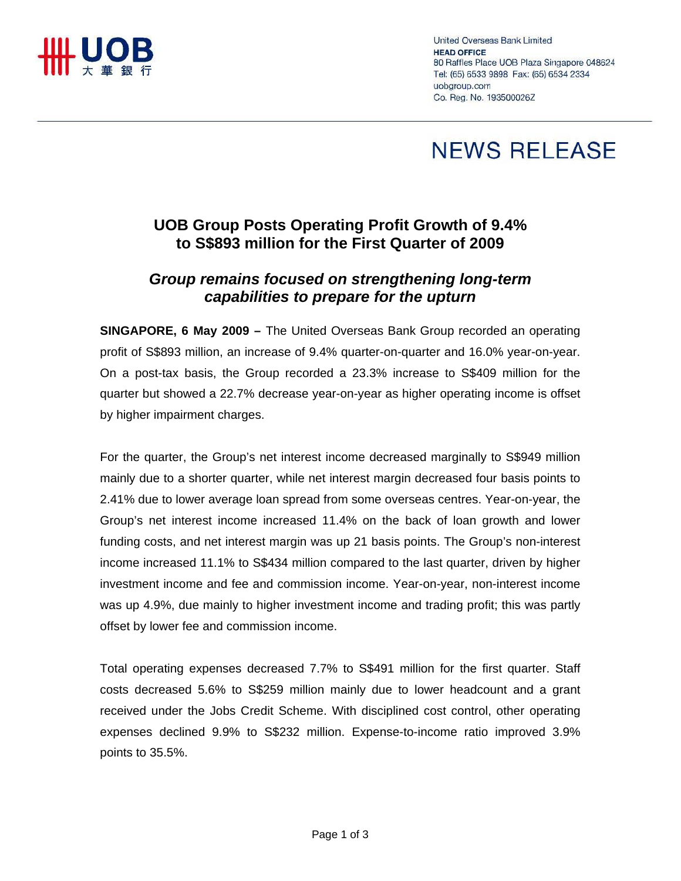

United Overseas Bank Limited **HEAD OFFICE** 80 Raffles Place UOB Plaza Singapore 048624 Tel: (65) 6533 9898 Fax: (65) 6534 2334 uobaroup.com Co. Reg. No. 193500026Z

## **NEWS RELEASE**

## **UOB Group Posts Operating Profit Growth of 9.4% to S\$893 million for the First Quarter of 2009**

## *Group remains focused on strengthening long-term capabilities to prepare for the upturn*

**SINGAPORE, 6 May 2009 –** The United Overseas Bank Group recorded an operating profit of S\$893 million, an increase of 9.4% quarter-on-quarter and 16.0% year-on-year. On a post-tax basis, the Group recorded a 23.3% increase to S\$409 million for the quarter but showed a 22.7% decrease year-on-year as higher operating income is offset by higher impairment charges.

For the quarter, the Group's net interest income decreased marginally to S\$949 million mainly due to a shorter quarter, while net interest margin decreased four basis points to 2.41% due to lower average loan spread from some overseas centres. Year-on-year, the Group's net interest income increased 11.4% on the back of loan growth and lower funding costs, and net interest margin was up 21 basis points. The Group's non-interest income increased 11.1% to S\$434 million compared to the last quarter, driven by higher investment income and fee and commission income. Year-on-year, non-interest income was up 4.9%, due mainly to higher investment income and trading profit; this was partly offset by lower fee and commission income.

Total operating expenses decreased 7.7% to S\$491 million for the first quarter. Staff costs decreased 5.6% to S\$259 million mainly due to lower headcount and a grant received under the Jobs Credit Scheme. With disciplined cost control, other operating expenses declined 9.9% to S\$232 million. Expense-to-income ratio improved 3.9% points to 35.5%.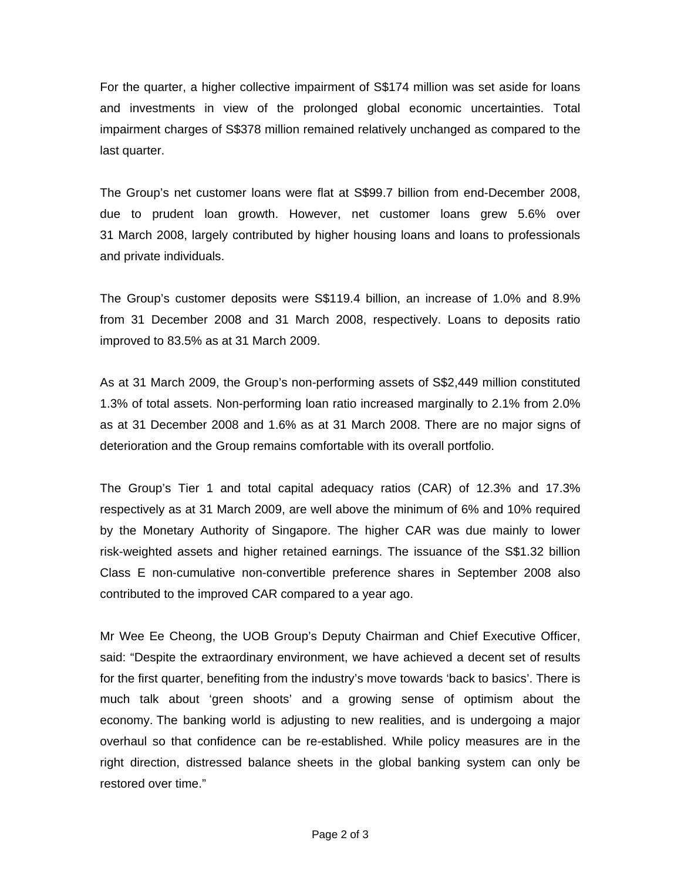For the quarter, a higher collective impairment of S\$174 million was set aside for loans and investments in view of the prolonged global economic uncertainties. Total impairment charges of S\$378 million remained relatively unchanged as compared to the last quarter.

The Group's net customer loans were flat at S\$99.7 billion from end-December 2008, due to prudent loan growth. However, net customer loans grew 5.6% over 31 March 2008, largely contributed by higher housing loans and loans to professionals and private individuals.

The Group's customer deposits were S\$119.4 billion, an increase of 1.0% and 8.9% from 31 December 2008 and 31 March 2008, respectively. Loans to deposits ratio improved to 83.5% as at 31 March 2009.

As at 31 March 2009, the Group's non-performing assets of S\$2,449 million constituted 1.3% of total assets. Non-performing loan ratio increased marginally to 2.1% from 2.0% as at 31 December 2008 and 1.6% as at 31 March 2008. There are no major signs of deterioration and the Group remains comfortable with its overall portfolio.

The Group's Tier 1 and total capital adequacy ratios (CAR) of 12.3% and 17.3% respectively as at 31 March 2009, are well above the minimum of 6% and 10% required by the Monetary Authority of Singapore. The higher CAR was due mainly to lower risk-weighted assets and higher retained earnings. The issuance of the S\$1.32 billion Class E non-cumulative non-convertible preference shares in September 2008 also contributed to the improved CAR compared to a year ago.

Mr Wee Ee Cheong, the UOB Group's Deputy Chairman and Chief Executive Officer, said: "Despite the extraordinary environment, we have achieved a decent set of results for the first quarter, benefiting from the industry's move towards 'back to basics'. There is much talk about 'green shoots' and a growing sense of optimism about the economy. The banking world is adjusting to new realities, and is undergoing a major overhaul so that confidence can be re-established. While policy measures are in the right direction, distressed balance sheets in the global banking system can only be restored over time."